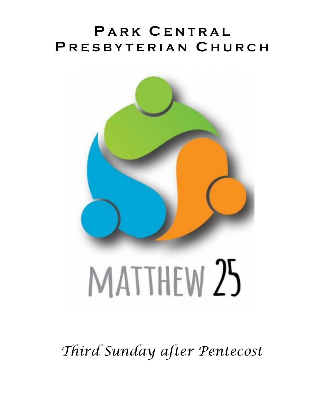# **P A R K C E N T R A L P R E S B Y T E R I A N C H U R C H**



*Third Sunday after Pentecost*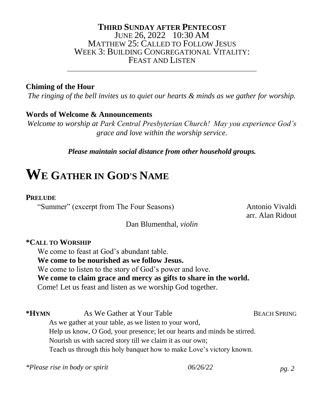## **THIRD SUNDAY AFTER PENTECOST** JUNE 26, 2022 10:30 AM MATTHEW 25: CALLED TO FOLLOW JESUS WEEK 3: BUILDING CONGREGATIONAL VITALITY: FEAST AND LISTEN

\_\_\_\_\_\_\_\_\_\_\_\_\_\_\_\_\_\_\_\_\_\_\_\_\_\_\_\_\_\_\_\_\_\_\_\_\_\_\_\_\_\_\_\_\_\_\_\_\_\_\_\_\_\_\_\_\_\_\_

## **Chiming of the Hour**

*The ringing of the bell invites us to quiet our hearts & minds as we gather for worship.*

## **Words of Welcome & Announcements**

*Welcome to worship at Park Central Presbyterian Church! May you experience God's grace and love within the worship service.*

*Please maintain social distance from other household groups.*

# **W<sup>E</sup> GATHER IN GOD'S NAME**

### **PRELUDE**

"Summer" (excerpt from The Four Seasons) Antonio Vivaldi

arr. Alan Ridout

### Dan Blumenthal, *violin*

### **\*CALL TO WORSHIP**

We come to feast at God's abundant table. **We come to be nourished as we follow Jesus.** We come to listen to the story of God's power and love. **We come to claim grace and mercy as gifts to share in the world.** Come! Let us feast and listen as we worship God together.

**\*HYMN** As We Gather at Your Table BEACH SPRING As we gather at your table, as we listen to your word, Help us know, O God, your presence; let our hearts and minds be stirred. Nourish us with sacred story till we claim it as our own; Teach us through this holy banquet how to make Love's victory known.

*\*Please rise in body or spirit 06/26/22 pg. 2*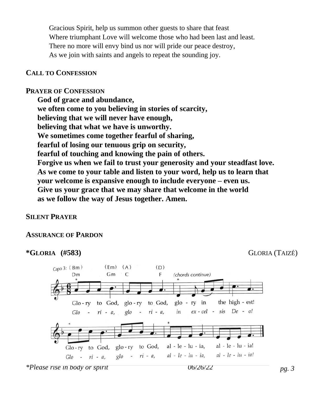Gracious Spirit, help us summon other guests to share that feast Where triumphant Love will welcome those who had been last and least. There no more will envy bind us nor will pride our peace destroy, As we join with saints and angels to repeat the sounding joy.

#### **CALL TO CONFESSION**

#### **PRAYER OF CONFESSION**

**God of grace and abundance, we often come to you believing in stories of scarcity, believing that we will never have enough, believing that what we have is unworthy. We sometimes come together fearful of sharing, fearful of losing our tenuous grip on security, fearful of touching and knowing the pain of others. Forgive us when we fail to trust your generosity and your steadfast love. As we come to your table and listen to your word, help us to learn that your welcome is expansive enough to include everyone – even us. Give us your grace that we may share that welcome in the world as we follow the way of Jesus together. Amen.**

#### **SILENT PRAYER**

#### **ASSURANCE OF PARDON**

#### **\*GLORIA (#583)** GLORIA (TAIZÉ)

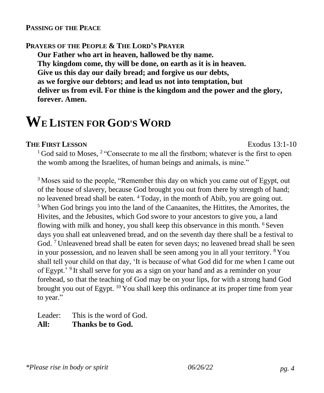#### **PASSING OF THE PEACE**

#### **PRAYERS OF THE PEOPLE & THE LORD'S PRAYER**

**Our Father who art in heaven, hallowed be thy name. Thy kingdom come, thy will be done, on earth as it is in heaven. Give us this day our daily bread; and forgive us our debts, as we forgive our debtors; and lead us not into temptation, but deliver us from evil. For thine is the kingdom and the power and the glory, forever. Amen.**

# **WE LISTEN FOR GOD'SWORD**

#### **THE FIRST LESSON** Exodus 13:1-10

 $1$  God said to Moses,  $2$  "Consecrate to me all the firstborn; whatever is the first to open the womb among the Israelites, of human beings and animals, is mine."

<sup>3</sup> Moses said to the people, "Remember this day on which you came out of Egypt, out of the house of slavery, because God brought you out from there by strength of hand; no leavened bread shall be eaten. <sup>4</sup> Today, in the month of Abib, you are going out. <sup>5</sup> When God brings you into the land of the Canaanites, the Hittites, the Amorites, the Hivites, and the Jebusites, which God swore to your ancestors to give you, a land flowing with milk and honey, you shall keep this observance in this month. <sup>6</sup> Seven days you shall eat unleavened bread, and on the seventh day there shall be a festival to God.<sup>7</sup> Unleavened bread shall be eaten for seven days; no leavened bread shall be seen in your possession, and no leaven shall be seen among you in all your territory. <sup>8</sup> You shall tell your child on that day, 'It is because of what God did for me when I came out of Egypt.'<sup>9</sup> It shall serve for you as a sign on your hand and as a reminder on your forehead, so that the teaching of God may be on your lips, for with a strong hand God brought you out of Egypt.  $^{10}$  You shall keep this ordinance at its proper time from year to year."

Leader: This is the word of God. **All: Thanks be to God.**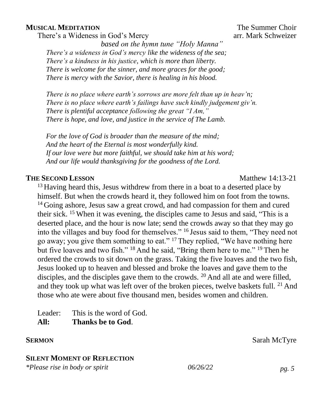#### **MUSICAL MEDITATION** THE Summer Choir

There's a Wideness in God's Mercy arr. Mark Schweizer

*based on the hymn tune "Holy Manna" There's a wideness in God's mercy like the wideness of the sea; There's a kindness in his justice, which is more than liberty. There is welcome for the sinner, and more graces for the good; There is mercy with the Savior, there is healing in his blood.*

*There is no place where earth's sorrows are more felt than up in heav'n; There is no place where earth's failings have such kindly judgement giv'n. There is plentiful acceptance following the great "I Am," There is hope, and love, and justice in the service of The Lamb.*

*For the love of God is broader than the measure of the mind; And the heart of the Eternal is most wonderfully kind. If our love were but more faithful, we should take him at his word; And our life would thanksgiving for the goodness of the Lord.*

#### **THE SECOND LESSON** Matthew 14:13-21

<sup>13</sup> Having heard this, Jesus withdrew from there in a boat to a deserted place by himself. But when the crowds heard it, they followed him on foot from the towns. <sup>14</sup> Going ashore, Jesus saw a great crowd, and had compassion for them and cured their sick. <sup>15</sup> When it was evening, the disciples came to Jesus and said, "This is a deserted place, and the hour is now late; send the crowds away so that they may go into the villages and buy food for themselves." <sup>16</sup> Jesus said to them, "They need not go away; you give them something to eat." <sup>17</sup> They replied, "We have nothing here but five loaves and two fish." <sup>18</sup> And he said, "Bring them here to me." <sup>19</sup> Then he ordered the crowds to sit down on the grass. Taking the five loaves and the two fish, Jesus looked up to heaven and blessed and broke the loaves and gave them to the disciples, and the disciples gave them to the crowds. <sup>20</sup> And all ate and were filled, and they took up what was left over of the broken pieces, twelve baskets full.  $2<sup>1</sup>$  And those who ate were about five thousand men, besides women and children.

Leader: This is the word of God. **All: Thanks be to God**.

#### **SERMON** Sarah McTyre

#### **SILENT MOMENT OF REFLECTION**

*\*Please rise in body or spirit 06/26/22 pg. 5*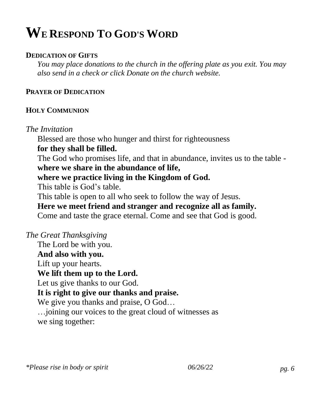# **WE RESPOND TO GOD'S WORD**

## **DEDICATION OF GIFTS**

*You may place donations to the church in the offering plate as you exit. You may also send in a check or click Donate on the church website.*

## **PRAYER OF DEDICATION**

### **HOLY COMMUNION**

## *The Invitation*

Blessed are those who hunger and thirst for righteousness

## **for they shall be filled.**

The God who promises life, and that in abundance, invites us to the table **where we share in the abundance of life,** 

## **where we practice living in the Kingdom of God.**

This table is God's table.

This table is open to all who seek to follow the way of Jesus.

# **Here we meet friend and stranger and recognize all as family.**

Come and taste the grace eternal. Come and see that God is good.

## *The Great Thanksgiving*

The Lord be with you.

**And also with you.** 

Lift up your hearts.

# **We lift them up to the Lord.**

Let us give thanks to our God.

# **It is right to give our thanks and praise.**

We give you thanks and praise, O God...

…joining our voices to the great cloud of witnesses as we sing together: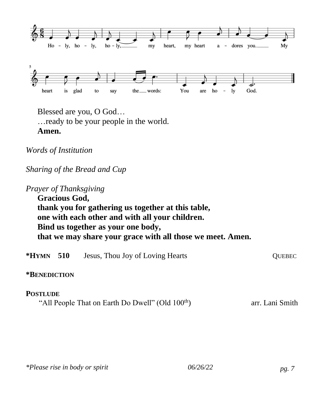

Blessed are you, O God… …ready to be your people in the world. **Amen.**

*Words of Institution*

*Sharing of the Bread and Cup*

*Prayer of Thanksgiving* **Gracious God, thank you for gathering us together at this table, one with each other and with all your children. Bind us together as your one body, that we may share your grace with all those we meet. Amen.** 

| * $HYMN$ 510    | Jesus, Thou Joy of Loving Hearts                             | <b>OUEBEC</b>   |
|-----------------|--------------------------------------------------------------|-----------------|
| *BENEDICTION    |                                                              |                 |
| <b>POSTLUDE</b> | "All People That on Earth Do Dwell" (Old 100 <sup>th</sup> ) | arr. Lani Smith |
|                 |                                                              |                 |